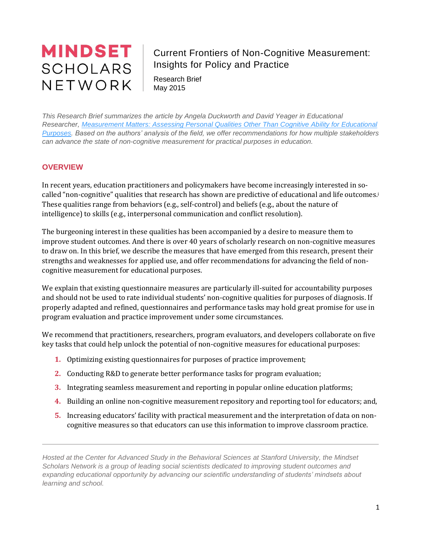# **MINDSET SCHOLARS** NETWORK

# Current Frontiers of Non-Cognitive Measurement: Insights for Policy and Practice

Research Brief May 2015

*This Research Brief summarizes the article by Angela Duckworth and David Yeager in Educational Researcher, [Measurement Matters: Assessing Personal Qualities Other Than Cognitive Ability for Educational](http://www.aera.net/Newsroom/RecentAERAResearch/MeasurementMattersAssessingPersonalQualitiesOtherThanCognitiveAbilityforEducationalPurposes/tabid/15946/Default.aspx)  [Purposes.](http://www.aera.net/Newsroom/RecentAERAResearch/MeasurementMattersAssessingPersonalQualitiesOtherThanCognitiveAbilityforEducationalPurposes/tabid/15946/Default.aspx) Based on the authors' analysis of the field, we offer recommendations for how multiple stakeholders can advance the state of non-cognitive measurement for practical purposes in education.*

# **OVERVIEW**

In recent years, education practitioners and policymakers have become increasingly interested in socalled "non-cognitive" qualities that research has shown are predictive of educational and life outcomes.<sup>i</sup> These qualities range from behaviors (e.g., self-control) and beliefs (e.g., about the nature of intelligence) to skills (e.g., interpersonal communication and conflict resolution).

The burgeoning interest in these qualities has been accompanied by a desire to measure them to improve student outcomes. And there is over 40 years of scholarly research on non-cognitive measures to draw on. In this brief, we describe the measures that have emerged from this research, present their strengths and weaknesses for applied use, and offer recommendations for advancing the field of noncognitive measurement for educational purposes.

We explain that existing questionnaire measures are particularly ill-suited for accountability purposes and should not be used to rate individual students' non-cognitive qualities for purposes of diagnosis. If properly adapted and refined, questionnaires and performance tasks may hold great promise for use in program evaluation and practice improvement under some circumstances.

We recommend that practitioners, researchers, program evaluators, and developers collaborate on five key tasks that could help unlock the potential of non-cognitive measures for educational purposes:

- **1.** Optimizing existing questionnaires for purposes of practice improvement;
- **2.** Conducting R&D to generate better performance tasks for program evaluation;
- **3.** Integrating seamless measurement and reporting in popular online education platforms;
- **4.** Building an online non-cognitive measurement repository and reporting tool for educators; and,
- **5.** Increasing educators' facility with practical measurement and the interpretation of data on noncognitive measures so that educators can use this information to improve classroom practice.

*Hosted at the Center for Advanced Study in the Behavioral Sciences at Stanford University, the Mindset Scholars Network is a group of leading social scientists dedicated to improving student outcomes and expanding educational opportunity by advancing our scientific understanding of students' mindsets about learning and school.*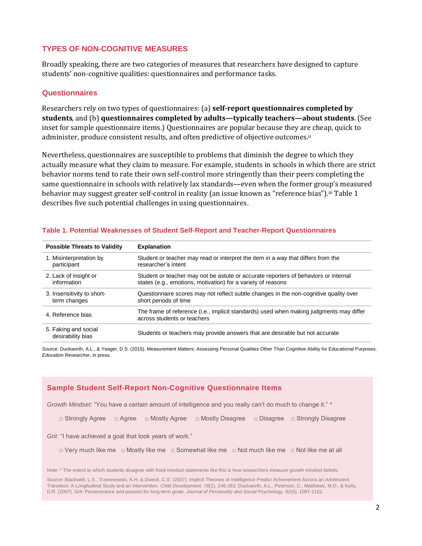## **TYPES OF NON-COGNITIVE MEASURES**

Broadly speaking, there are two categories of measures that researchers have designed to capture students' non-cognitive qualities: questionnaires and performance tasks.

## **Questionnaires**

Researchers rely on two types of questionnaires: (a) **self-report questionnaires completed by students**, and (b) **questionnaires completed by adults—typically teachers—about students**. (See inset for sample questionnaire items.) Questionnaires are popular because they are cheap, quick to administer, produce consistent results, and often predictive of objective outcomes.ii

Nevertheless, questionnaires are susceptible to problems that diminish the degree to which they actually measure what they claim to measure. For example, students in schools in which there are strict behavior norms tend to rate their own self-control more stringently than their peers completing the same questionnaire in schools with relatively lax standards—even when the former group's measured behavior may suggest greater self-control in reality (an issue known as "reference bias").iii Table 1 describes five such potential challenges in using questionnaires.

| <b>Possible Threats to Validity</b>       | <b>Explanation</b>                                                                                                     |
|-------------------------------------------|------------------------------------------------------------------------------------------------------------------------|
| 1. Misinterpretation by                   | Student or teacher may read or interpret the item in a way that differs from the                                       |
| participant                               | researcher's intent                                                                                                    |
| 2. Lack of insight or                     | Student or teacher may not be astute or accurate reporters of behaviors or internal                                    |
| information                               | states (e.g., emotions, motivation) for a variety of reasons                                                           |
| 3. Insensitivity to short-                | Questionnaire scores may not reflect subtle changes in the non-cognitive quality over                                  |
| term changes                              | short periods of time                                                                                                  |
| 4. Reference bias                         | The frame of reference (i.e., implicit standards) used when making judgments may differ<br>across students or teachers |
| 5. Faking and social<br>desirability bias | Students or teachers may provide answers that are desirable but not accurate                                           |

#### **Table 1. Potential Weaknesses of Student Self-Report and Teacher-Report Questionnaires**

Source: Duckworth, A.L., & Yeager, D.S. (2015). Measurement Matters: Assessing Personal Qualities Other Than Cognitive Ability for Educational Purposes. *Education Researcher,* in press*.*

## **Sample Student Self-Report Non-Cognitive Questionnaire Items**

*Growth Mindset:* "You have a certain amount of intelligence and you really can't do much to change it." \*

□ Strongly Agree □ Agree □ Mostly Agree □ Mostly Disagree □ Disagree □ Strongly Disagree

*Grit:* "I have achieved a goal that took years of work."

□ Very much like me □ Mostly like me □ Somewhat like me □ Not much like me □ Not like me at all

Note: \* The extent to which students disagree with fixed mindset statements like this is how researchers measure growth mindset beliefs.

Source: Blackwell, L.S., Trzesniewski, K.H. & Dweck, C.S. (2007). Implicit Theories of Intelligence Predict Achievement Across an Adolescent Transition: A Longitudinal Study and an Intervention. *Child Development, 78*(1), 246-263. Duckworth, A.L., Peterson, C., Matthews, M.D., & Kelly, D.R. (2007). Grit: Perseverance and passion for long-term goals. *Journal of Personality and Social Psychology, 92*(6)*,* 1087-1101.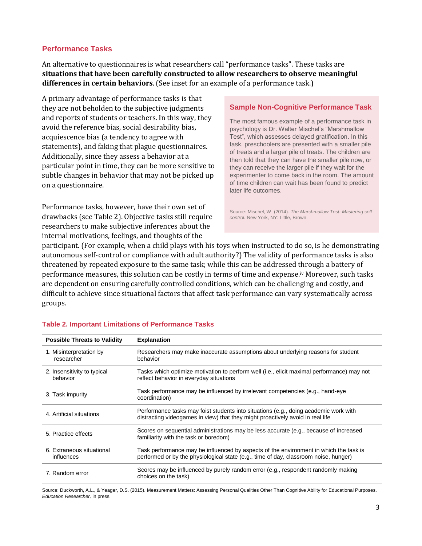## **Performance Tasks**

An alternative to questionnaires is what researchers call "performance tasks". These tasks are **situations that have been carefully constructed to allow researchers to observe meaningful differences in certain behaviors**. (See inset for an example of a performance task.)

A primary advantage of performance tasks is that they are not beholden to the subjective judgments and reports of students or teachers. In this way, they avoid the reference bias, social desirability bias, acquiescence bias (a tendency to agree with statements), and faking that plague questionnaires. Additionally, since they assess a behavior at a particular point in time, they can be more sensitive to subtle changes in behavior that may not be picked up on a questionnaire.

Performance tasks, however, have their own set of drawbacks (see Table 2). Objective tasks still require researchers to make subjective inferences about the internal motivations, feelings, and thoughts of the

### **Sample Non-Cognitive Performance Task**

The most famous example of a performance task in psychology is Dr. Walter Mischel's "Marshmallow Test", which assesses delayed gratification. In this task, preschoolers are presented with a smaller pile of treats and a larger pile of treats. The children are then told that they can have the smaller pile now, or they can receive the larger pile if they wait for the experimenter to come back in the room. The amount of time children can wait has been found to predict later life outcomes.

Source: Mischel, W. (2014). *The Marshmallow Test: Mastering selfcontrol.* New York, NY: Little, Brown.

participant. (For example, when a child plays with his toys when instructed to do so, is he demonstrating autonomous self-control or compliance with adult authority?) The validity of performance tasks is also threatened by repeated exposure to the same task; while this can be addressed through a battery of performance measures, this solution can be costly in terms of time and expense.iv Moreover, such tasks are dependent on ensuring carefully controlled conditions, which can be challenging and costly, and difficult to achieve since situational factors that affect task performance can vary systematically across groups.

| <b>Possible Threats to Validity</b>     | <b>Explanation</b>                                                                                                                                                            |
|-----------------------------------------|-------------------------------------------------------------------------------------------------------------------------------------------------------------------------------|
| 1. Misinterpretation by<br>researcher   | Researchers may make inaccurate assumptions about underlying reasons for student<br>behavior                                                                                  |
| 2. Insensitivity to typical<br>behavior | Tasks which optimize motivation to perform well (i.e., elicit maximal performance) may not<br>reflect behavior in everyday situations                                         |
| 3. Task impurity                        | Task performance may be influenced by irrelevant competencies (e.g., hand-eye<br>coordination)                                                                                |
| 4. Artificial situations                | Performance tasks may foist students into situations (e.g., doing academic work with<br>distracting videogames in view) that they might proactively avoid in real life        |
| 5. Practice effects                     | Scores on sequential administrations may be less accurate (e.g., because of increased<br>familiarity with the task or boredom)                                                |
| 6. Extraneous situational<br>influences | Task performance may be influenced by aspects of the environment in which the task is<br>performed or by the physiological state (e.g., time of day, classroom noise, hunger) |
| 7. Random error                         | Scores may be influenced by purely random error (e.g., respondent randomly making<br>choices on the task)                                                                     |

#### **Table 2. Important Limitations of Performance Tasks**

Source: Duckworth, A.L., & Yeager, D.S. (2015). Measurement Matters: Assessing Personal Qualities Other Than Cognitive Ability for Educational Purposes. *Education Researcher,* in press.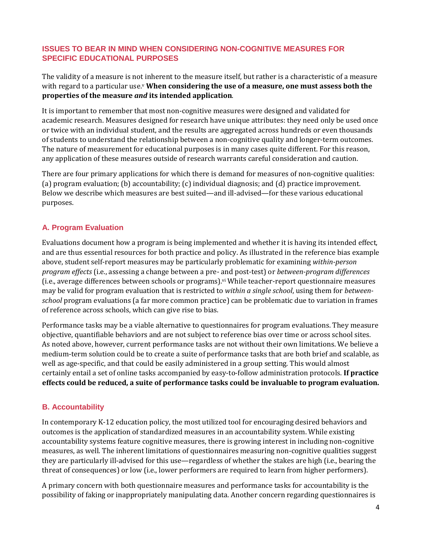## **ISSUES TO BEAR IN MIND WHEN CONSIDERING NON-COGNITIVE MEASURES FOR SPECIFIC EDUCATIONAL PURPOSES**

The validity of a measure is not inherent to the measure itself, but rather is a characteristic of a measure with regard to a particular use.<sup>v</sup> When considering the use of a measure, one must assess both the **properties of the measure** *and* **its intended application**.

It is important to remember that most non-cognitive measures were designed and validated for academic research. Measures designed for research have unique attributes: they need only be used once or twice with an individual student, and the results are aggregated across hundreds or even thousands of students to understand the relationship between a non-cognitive quality and longer-term outcomes. The nature of measurement for educational purposes is in many cases quite different. For this reason, any application of these measures outside of research warrants careful consideration and caution.

There are four primary applications for which there is demand for measures of non-cognitive qualities: (a) program evaluation; (b) accountability; (c) individual diagnosis; and (d) practice improvement. Below we describe which measures are best suited—and ill-advised—for these various educational purposes.

# **A. Program Evaluation**

Evaluations document how a program is being implemented and whether it is having its intended effect, and are thus essential resources for both practice and policy. As illustrated in the reference bias example above, student self-report measures may be particularly problematic for examining *within-person program effects* (i.e., assessing a change between a pre- and post-test) or *between-program differences* (i.e., average differences between schools or programs).vi While teacher-report questionnaire measures may be valid for program evaluation that is restricted to *within a single school*, using them for *betweenschool* program evaluations (a far more common practice) can be problematic due to variation in frames of reference across schools, which can give rise to bias.

Performance tasks may be a viable alternative to questionnaires for program evaluations. They measure objective, quantifiable behaviors and are not subject to reference bias over time or across school sites. As noted above, however, current performance tasks are not without their own limitations. We believe a medium-term solution could be to create a suite of performance tasks that are both brief and scalable, as well as age-specific, and that could be easily administered in a group setting. This would almost certainly entail a set of online tasks accompanied by easy-to-follow administration protocols. **If practice effects could be reduced, a suite of performance tasks could be invaluable to program evaluation.**

## **B. Accountability**

In contemporary K-12 education policy, the most utilized tool for encouraging desired behaviors and outcomes is the application of standardized measures in an accountability system. While existing accountability systems feature cognitive measures, there is growing interest in including non-cognitive measures, as well. The inherent limitations of questionnaires measuring non-cognitive qualities suggest they are particularly ill-advised for this use—regardless of whether the stakes are high (i.e., bearing the threat of consequences) or low (i.e., lower performers are required to learn from higher performers).

A primary concern with both questionnaire measures and performance tasks for accountability is the possibility of faking or inappropriately manipulating data. Another concern regarding questionnaires is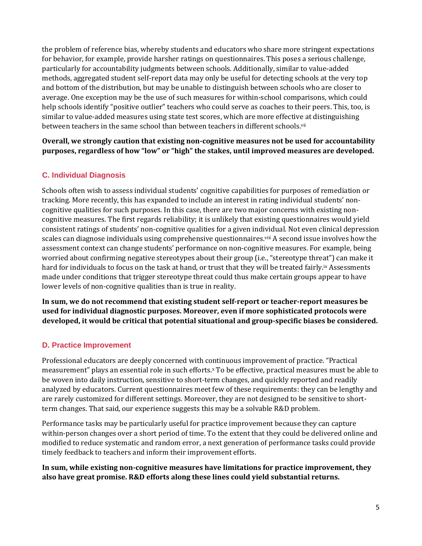the problem of reference bias, whereby students and educators who share more stringent expectations for behavior, for example, provide harsher ratings on questionnaires. This poses a serious challenge, particularly for accountability judgments between schools. Additionally, similar to value-added methods, aggregated student self-report data may only be useful for detecting schools at the very top and bottom of the distribution, but may be unable to distinguish between schools who are closer to average. One exception may be the use of such measures for within-school comparisons, which could help schools identify "positive outlier" teachers who could serve as coaches to their peers. This, too, is similar to value-added measures using state test scores, which are more effective at distinguishing between teachers in the same school than between teachers in different schools.<sup>vii</sup>

**Overall, we strongly caution that existing non-cognitive measures not be used for accountability purposes, regardless of how "low" or "high" the stakes, until improved measures are developed.** 

## **C. Individual Diagnosis**

Schools often wish to assess individual students' cognitive capabilities for purposes of remediation or tracking. More recently, this has expanded to include an interest in rating individual students' noncognitive qualities for such purposes. In this case, there are two major concerns with existing noncognitive measures. The first regards reliability; it is unlikely that existing questionnaires would yield consistent ratings of students' non-cognitive qualities for a given individual. Not even clinical depression scales can diagnose individuals using comprehensive questionnaires.<sup>viii</sup> A second issue involves how the assessment context can change students' performance on non-cognitive measures. For example, being worried about confirming negative stereotypes about their group (i.e., "stereotype threat") can make it hard for individuals to focus on the task at hand, or trust that they will be treated fairly. ix Assessments made under conditions that trigger stereotype threat could thus make certain groups appear to have lower levels of non-cognitive qualities than is true in reality.

**In sum, we do not recommend that existing student self-report or teacher-report measures be used for individual diagnostic purposes. Moreover, even if more sophisticated protocols were developed, it would be critical that potential situational and group-specific biases be considered.**

# **D. Practice Improvement**

Professional educators are deeply concerned with continuous improvement of practice. "Practical measurement" plays an essential role in such efforts.<sup>x</sup> To be effective, practical measures must be able to be woven into daily instruction, sensitive to short-term changes, and quickly reported and readily analyzed by educators. Current questionnaires meet few of these requirements: they can be lengthy and are rarely customized for different settings. Moreover, they are not designed to be sensitive to shortterm changes. That said, our experience suggests this may be a solvable R&D problem.

Performance tasks may be particularly useful for practice improvement because they can capture within-person changes over a short period of time. To the extent that they could be delivered online and modified to reduce systematic and random error, a next generation of performance tasks could provide timely feedback to teachers and inform their improvement efforts.

**In sum, while existing non-cognitive measures have limitations for practice improvement, they also have great promise. R&D efforts along these lines could yield substantial returns.**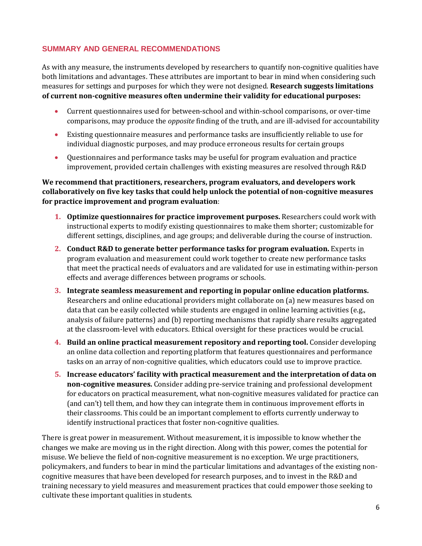## **SUMMARY AND GENERAL RECOMMENDATIONS**

As with any measure, the instruments developed by researchers to quantify non-cognitive qualities have both limitations and advantages. These attributes are important to bear in mind when considering such measures for settings and purposes for which they were not designed. **Research suggests limitations of current non-cognitive measures often undermine their validity for educational purposes:**

- Current questionnaires used for between-school and within-school comparisons, or over-time comparisons, may produce the *opposite* finding of the truth, and are ill-advised for accountability
- Existing questionnaire measures and performance tasks are insufficiently reliable to use for individual diagnostic purposes, and may produce erroneous results for certain groups
- Questionnaires and performance tasks may be useful for program evaluation and practice improvement, provided certain challenges with existing measures are resolved through R&D

**We recommend that practitioners, researchers, program evaluators, and developers work collaboratively on five key tasks that could help unlock the potential of non-cognitive measures for practice improvement and program evaluation**:

- **1. Optimize questionnaires for practice improvement purposes.** Researchers could work with instructional experts to modify existing questionnaires to make them shorter; customizable for different settings, disciplines, and age groups; and deliverable during the course of instruction.
- **2. Conduct R&D to generate better performance tasks for program evaluation.** Experts in program evaluation and measurement could work together to create new performance tasks that meet the practical needs of evaluators and are validated for use in estimating within-person effects and average differences between programs or schools.
- **3. Integrate seamless measurement and reporting in popular online education platforms.** Researchers and online educational providers might collaborate on (a) new measures based on data that can be easily collected while students are engaged in online learning activities (e.g., analysis of failure patterns) and (b) reporting mechanisms that rapidly share results aggregated at the classroom-level with educators. Ethical oversight for these practices would be crucial.
- **4. Build an online practical measurement repository and reporting tool.** Consider developing an online data collection and reporting platform that features questionnaires and performance tasks on an array of non-cognitive qualities, which educators could use to improve practice.
- **5. Increase educators' facility with practical measurement and the interpretation of data on non-cognitive measures.** Consider adding pre-service training and professional development for educators on practical measurement, what non-cognitive measures validated for practice can (and can't) tell them, and how they can integrate them in continuous improvement efforts in their classrooms. This could be an important complement to efforts currently underway to identify instructional practices that foster non-cognitive qualities.

There is great power in measurement. Without measurement, it is impossible to know whether the changes we make are moving us in the right direction. Along with this power, comes the potential for misuse. We believe the field of non-cognitive measurement is no exception. We urge practitioners, policymakers, and funders to bear in mind the particular limitations and advantages of the existing noncognitive measures that have been developed for research purposes, and to invest in the R&D and training necessary to yield measures and measurement practices that could empower those seeking to cultivate these important qualities in students.